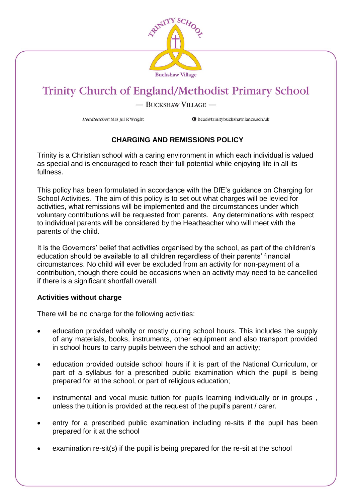

#### - BUCKSHAW VILLAGE -

Headteacher: Mrs Jill R Wright

**O** head@trinitybuckshaw.lancs.sch.uk

### **CHARGING AND REMISSIONS POLICY**

Trinity is a Christian school with a caring environment in which each individual is valued as special and is encouraged to reach their full potential while enjoying life in all its fullness.

This policy has been formulated in accordance with the DfE's guidance on Charging for School Activities. The aim of this policy is to set out what charges will be levied for activities, what remissions will be implemented and the circumstances under which voluntary contributions will be requested from parents. Any determinations with respect to individual parents will be considered by the Headteacher who will meet with the parents of the child.

It is the Governors' belief that activities organised by the school, as part of the children's education should be available to all children regardless of their parents' financial circumstances. No child will ever be excluded from an activity for non-payment of a contribution, though there could be occasions when an activity may need to be cancelled if there is a significant shortfall overall.

#### **Activities without charge**

There will be no charge for the following activities:

- education provided wholly or mostly during school hours. This includes the supply of any materials, books, instruments, other equipment and also transport provided in school hours to carry pupils between the school and an activity;
- education provided outside school hours if it is part of the National Curriculum, or part of a syllabus for a prescribed public examination which the pupil is being prepared for at the school, or part of religious education;
- instrumental and vocal music tuition for pupils learning individually or in groups , unless the tuition is provided at the request of the pupil's parent / carer.
- entry for a prescribed public examination including re-sits if the pupil has been prepared for it at the school
- examination re-sit(s) if the pupil is being prepared for the re-sit at the school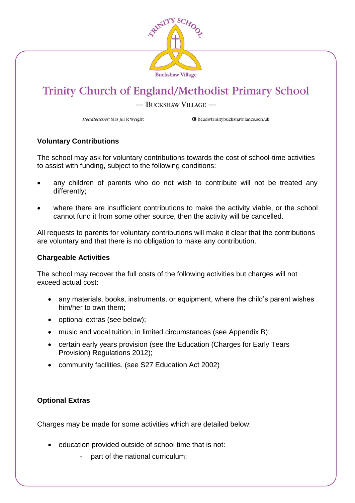

#### - BUCKSHAW VILLAGE -

Headteacher: Mrs Jill R Wright

**O** head@trinitybuckshaw.lancs.sch.uk

#### **Voluntary Contributions**

The school may ask for voluntary contributions towards the cost of school-time activities to assist with funding, subject to the following conditions:

- any children of parents who do not wish to contribute will not be treated any differently;
- where there are insufficient contributions to make the activity viable, or the school cannot fund it from some other source, then the activity will be cancelled.

All requests to parents for voluntary contributions will make it clear that the contributions are voluntary and that there is no obligation to make any contribution.

#### **Chargeable Activities**

The school may recover the full costs of the following activities but charges will not exceed actual cost:

- any materials, books, instruments, or equipment, where the child's parent wishes him/her to own them;
- optional extras (see below):
- music and vocal tuition, in limited circumstances (see Appendix B);
- certain early years provision (see the Education (Charges for Early Tears Provision) Regulations 2012);
- community facilities. (see S27 Education Act 2002)

#### **Optional Extras**

Charges may be made for some activities which are detailed below:

- education provided outside of school time that is not:
	- part of the national curriculum;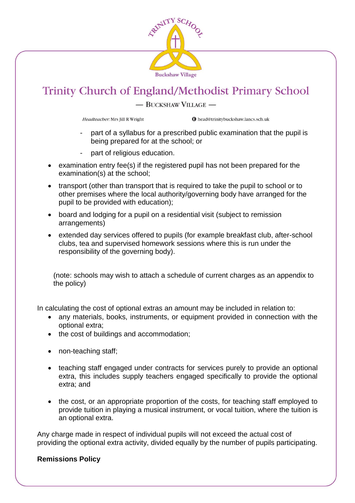

- BUCKSHAW VILLAGE -

Headteacher: Mrs Jill R Wright

**O** head@trinitybuckshaw.lancs.sch.uk

- part of a syllabus for a prescribed public examination that the pupil is being prepared for at the school; or
- part of religious education.
- examination entry fee(s) if the registered pupil has not been prepared for the examination(s) at the school;
- transport (other than transport that is required to take the pupil to school or to other premises where the local authority/governing body have arranged for the pupil to be provided with education);
- board and lodging for a pupil on a residential visit (subject to remission arrangements)
- extended day services offered to pupils (for example breakfast club, after-school clubs, tea and supervised homework sessions where this is run under the responsibility of the governing body).

(note: schools may wish to attach a schedule of current charges as an appendix to the policy)

In calculating the cost of optional extras an amount may be included in relation to:

- any materials, books, instruments, or equipment provided in connection with the optional extra;
- the cost of buildings and accommodation;
- non-teaching staff;
- teaching staff engaged under contracts for services purely to provide an optional extra, this includes supply teachers engaged specifically to provide the optional extra; and
- the cost, or an appropriate proportion of the costs, for teaching staff employed to provide tuition in playing a musical instrument, or vocal tuition, where the tuition is an optional extra.

Any charge made in respect of individual pupils will not exceed the actual cost of providing the optional extra activity, divided equally by the number of pupils participating.

#### **Remissions Policy**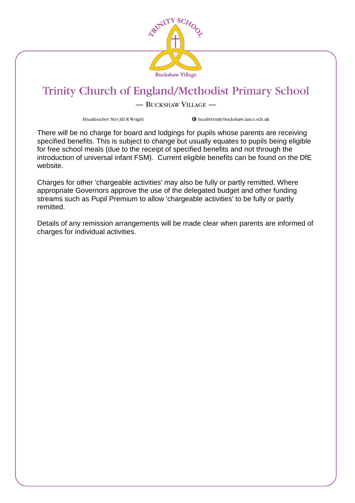

#### - BUCKSHAW VILLAGE -

Headteacher: Mrs Jill R Wright

**O** head@trinitybuckshaw.lancs.sch.uk

There will be no charge for board and lodgings for pupils whose parents are receiving specified benefits. This is subject to change but usually equates to pupils being eligible for free school meals (due to the receipt of specified benefits and not through the introduction of universal infant FSM). Current eligible benefits can be found on the DfE website.

Charges for other 'chargeable activities' may also be fully or partly remitted. Where appropriate Governors approve the use of the delegated budget and other funding streams such as Pupil Premium to allow 'chargeable activities' to be fully or partly remitted.

Details of any remission arrangements will be made clear when parents are informed of charges for individual activities.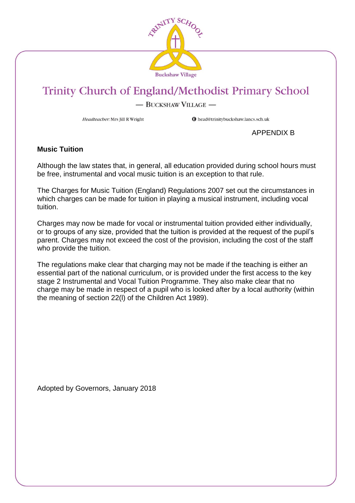

- BUCKSHAW VILLAGE -

Headteacher: Mrs Jill R Wright

**O** head@trinitybuckshaw.lancs.sch.uk

APPENDIX B

#### **Music Tuition**

Although the law states that, in general, all education provided during school hours must be free, instrumental and vocal music tuition is an exception to that rule.

The Charges for Music Tuition (England) Regulations 2007 set out the circumstances in which charges can be made for tuition in playing a musical instrument, including vocal tuition.

Charges may now be made for vocal or instrumental tuition provided either individually, or to groups of any size, provided that the tuition is provided at the request of the pupil's parent. Charges may not exceed the cost of the provision, including the cost of the staff who provide the tuition.

The regulations make clear that charging may not be made if the teaching is either an essential part of the national curriculum, or is provided under the first access to the key stage 2 Instrumental and Vocal Tuition Programme. They also make clear that no charge may be made in respect of a pupil who is looked after by a local authority (within the meaning of section 22(l) of the Children Act 1989).

Adopted by Governors, January 2018